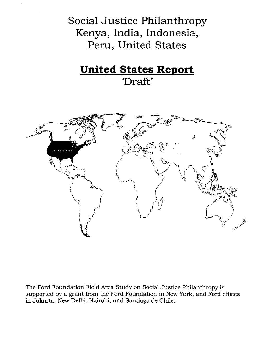Social Justice Philanthropy Kenya, India, Indonesia, Peru, United States

# **United States Report** 'Draft'



The Ford Foundation Field Area Study on Social Justice Philanthropy is supported by a grant from the Ford Foundation in New York, and Ford offices in Jakarta, New Delhi, Nairobi, and Santiago de Chile.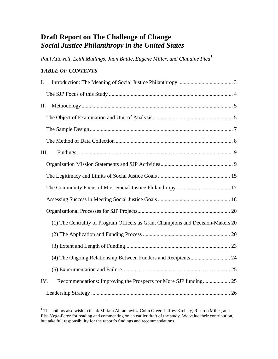# **Draft Report on The Challenge of Change**  *Social Justice Philanthropy in the United States*

Paul Attewell, Leith Mullings, Juan Battle, Eugene Miller, and Claudine Pied<sup>[1](#page-1-0)</sup>

# *TABLE OF CONTENTS*

| I.   |                                                                                  |
|------|----------------------------------------------------------------------------------|
|      |                                                                                  |
| Π.   |                                                                                  |
|      |                                                                                  |
|      |                                                                                  |
|      |                                                                                  |
| III. |                                                                                  |
|      |                                                                                  |
|      |                                                                                  |
|      |                                                                                  |
|      |                                                                                  |
|      |                                                                                  |
|      | (1) The Centrality of Program Officers as Grant Champions and Decision-Makers 20 |
|      |                                                                                  |
|      |                                                                                  |
|      |                                                                                  |
|      |                                                                                  |
| IV.  |                                                                                  |
|      |                                                                                  |

<span id="page-1-0"></span><sup>&</sup>lt;sup>1</sup> The authors also wish to thank Miriam Abramowitz, Colin Greer, Jeffrey Krehely, Ricardo Millet, and Elsa Vega-Perez for reading and commenting on an earlier draft of the study. We value their contribution, but take full responsibility for the report's findings and recommendations.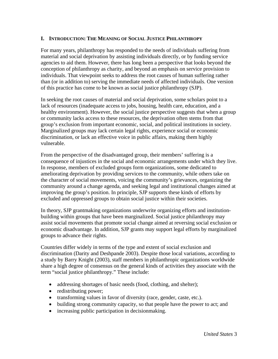## <span id="page-3-0"></span>**I. INTRODUCTION: THE MEANING OF SOCIAL JUSTICE PHILANTHROPY**

For many years, philanthropy has responded to the needs of individuals suffering from material and social deprivation by assisting individuals directly, or by funding service agencies to aid them. However, there has long been a perspective that looks beyond the conception of philanthropy as charity, and beyond an emphasis on service provision to individuals. That viewpoint seeks to address the root causes of human suffering rather than (or in addition to) serving the immediate needs of affected individuals. One version of this practice has come to be known as social justice philanthropy (SJP).

In seeking the root causes of material and social deprivation, some scholars point to a lack of resources (inadequate access to jobs, housing, health care, education, and a healthy environment). However, the social justice perspective suggests that when a group or community lacks access to these resources, the deprivation often stems from that group's exclusion from important economic, social, and political institutions in society. Marginalized groups may lack certain legal rights, experience social or economic discrimination, or lack an effective voice in public affairs, making them highly vulnerable.

From the perspective of the disadvantaged group, their members' suffering is a consequence of injustices in the social and economic arrangements under which they live. In response, members of excluded groups form organizations, some dedicated to ameliorating deprivation by providing services to the community, while others take on the character of social movements, voicing the community's grievances, organizing the community around a change agenda, and seeking legal and institutional changes aimed at improving the group's position. In principle, SJP supports these kinds of efforts by excluded and oppressed groups to obtain social justice within their societies.

In theory, SJP grantmaking organizations underwrite organizing efforts and institutionbuilding within groups that have been marginalized. Social justice philanthropy may assist social movements that promote social change aimed at reversing social exclusion or economic disadvantage. In addition, SJP grants may support legal efforts by marginalized groups to advance their rights.

Countries differ widely in terms of the type and extent of social exclusion and discrimination (Darity and Deshpande 2003). Despite those local variations, according to a study by Barry Knight (2003), staff members in philanthropic organizations worldwide share a high degree of consensus on the general kinds of activities they associate with the term "social justice philanthropy." These include:

- addressing shortages of basic needs (food, clothing, and shelter);
- redistributing power;
- transforming values in favor of diversity (race, gender, caste, etc.).
- building strong community capacity, so that people have the power to act; and
- increasing public participation in decision making.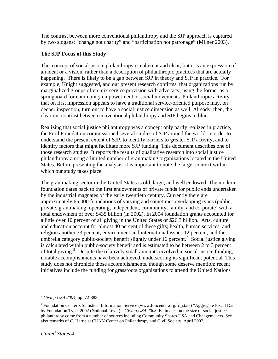<span id="page-4-0"></span>The contrast between more conventional philanthropy and the SJP approach is captured by two slogans: "change not charity" and "participation not patronage" (Milner 2003).

# **The SJP Focus of this Study**

This concept of social justice philanthropy is coherent and clear, but it is an expression of an ideal or a vision, rather than a description of philanthropic practices that are actually happening. There is likely to be a gap between SJP in theory and SJP in practice. For example, Knight suggested, and our present research confirms, that organizations run by marginalized groups often mix service provision with advocacy, using the former as a springboard for community empowerment or social movements. Philanthropic activity that on first impression appears to have a traditional service-oriented purpose may, on deeper inspection, turn out to have a social justice dimension as well. Already, then, the clear-cut contrast between conventional philanthropy and SJP begins to blur.

Realizing that social justice philanthropy was a concept only partly realized in practice, the Ford Foundation commissioned several studies of SJP around the world, in order to understand the present extent of SJP, to identify barriers to greater SJP activity, and to identify factors that might facilitate more SJP funding. This document describes one of those research studies. It reports the results of qualitative research into social justice philanthropy among a limited number of grantmaking organizations located in the United States. Before presenting the analysis, it is important to note the larger context within which our study takes place.

The grantmaking sector in the United States is old, large, and well endowed. The modern foundation dates back to the first endowments of private funds for public ends undertaken by the industrial magnates of the early twentieth century. Currently there are approximately 65,000 foundations of varying and sometimes overlapping types (public, private, grantmaking, operating, independent, community, family, and corporate) with a total endowment of over \$435 billion (in 2002). In 2004 foundation grants accounted for a little over 10 percent of all giving in the United States or \$26.3 billion. Arts, culture, and education account for almost 40 percent of these gifts; health, human services, and religion another 33 percent; environment and international issues 12 percent, and the umbrella category public-society benefit slightly under 16 percent.<sup>[2](#page-4-1)</sup> Social justice giving is calculated within public-society benefit and is estimated to be between 2 to 3 percent of total giving.<sup>[3](#page-4-2)</sup> Despite the relatively small amounts involved in social justice funding, notable accomplishments have been achieved, underscoring its significant potential. This study does not chronicle those accomplishments, though some deserve mention: recent initiatives include the funding for grassroots organizations to attend the United Nations

<span id="page-4-1"></span><sup>2</sup> *Giving USA 2004*, pp. 72-883.

<span id="page-4-2"></span><sup>&</sup>lt;sup>3</sup> Foundation Center's Statistical Information Service (www.fdncenter.org/fc\_stats) "Aggregate Fiscal Data by Foundation Type, 2002 (National Level)." *Giving USA 2003*. Estimates on the size of social justice philanthropy come from a number of sources including Community Shares USA and Changemakers. See also remarks of C. Harris at CUNY Center on Philanthropy and Civil Society, April 2002.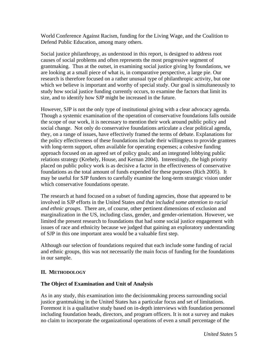<span id="page-5-0"></span>World Conference Against Racism, funding for the Living Wage, and the Coalition to Defend Public Education, among many others.

Social justice philanthropy, as understood in this report, is designed to address root causes of social problems and often represents the most progressive segment of grantmaking. Thus at the outset, in examining social justice giving by foundations, we are looking at a small piece of what is, in comparative perspective, a large pie. Our research is therefore focused on a rather unusual type of philanthropic activity, but one which we believe is important and worthy of special study. Our goal is simultaneously to study how social justice funding currently occurs, to examine the factors that limit its size, and to identify how SJP might be increased in the future.

However, SJP is not the only type of institutional giving with a clear advocacy agenda. Though a systemic examination of the operation of conservative foundations falls outside the scope of our work, it is necessary to mention their work around public policy and social change. Not only do conservative foundations articulate a clear political agenda, they, on a range of issues, have effectively framed the terms of debate. Explanations for the policy effectiveness of these foundations include their willingness to provide grantees with long-term support, often available for operating expenses; a cohesive funding approach focused on an agreed set of policy goals; and an integrated lobbying public relations strategy (Krehely, House, and Kernan 2004). Interestingly, the high priority placed on public policy work is as decisive a factor in the effectiveness of conservative foundations as the total amount of funds expended for these purposes (Rich 2005). It may be useful for SJP funders to carefully examine the long-term strategic vision under which conservative foundations operate.

The research at hand focused on a subset of funding agencies, those that appeared to be involved in SJP efforts in the United States *and that included some attention to racial and ethnic groups*. There are, of course, other pertinent dimensions of exclusion and marginalization in the US, including class, gender, and gender-orientation. However, we limited the present research to foundations that had some social justice engagement with issues of race and ethnicity because we judged that gaining an exploratory understanding of SJP in this one important area would be a valuable first step.

Although our selection of foundations required that each include some funding of racial and ethnic groups, this was not necessarily the main focus of funding for the foundations in our sample.

#### **II. METHODOLOGY**

#### **The Object of Examination and Unit of Analysis**

As in any study, this examination into the decisionmaking process surrounding social justice grantmaking in the United States has a particular focus and set of limitations. Foremost it is a qualitative study based on in-depth interviews with foundation personnel including foundation heads, directors, and program officers. It is not a survey and makes no claim to incorporate the organizational operations of even a small percentage of the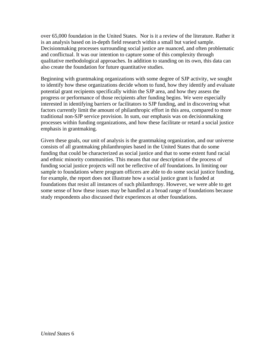over 65,000 foundation in the United States. Nor is it a review of the literature. Rather it is an analysis based on in-depth field research within a small but varied sample. Decisionmaking processes surrounding social justice are nuanced, and often problematic and conflictual. It was our intention to capture some of this complexity through qualitative methodological approaches. In addition to standing on its own, this data can also create the foundation for future quantitative studies.

Beginning with grantmaking organizations with some degree of SJP activity, we sought to identify how these organizations decide whom to fund, how they identify and evaluate potential grant recipients specifically within the SJP area, and how they assess the progress or performance of those recipients after funding begins. We were especially interested in identifying barriers or facilitators to SJP funding, and in discovering what factors currently limit the amount of philanthropic effort in this area, compared to more traditional non-SJP service provision. In sum, our emphasis was on decisionmaking processes within funding organizations, and how these facilitate or retard a social justice emphasis in grantmaking.

Given these goals, our unit of analysis is the grantmaking organization, and our universe consists of all grantmaking philanthropies based in the United States that do some funding that could be characterized as social justice and that to some extent fund racial and ethnic minority communities. This means that our description of the process of funding social justice projects will not be reflective of *all* foundations. In limiting our sample to foundations where program officers are able to do some social justice funding, for example, the report does not illustrate how a social justice grant is funded at foundations that resist all instances of such philanthropy. However, we were able to get some sense of how these issues may be handled at a broad range of foundations because study respondents also discussed their experiences at other foundations.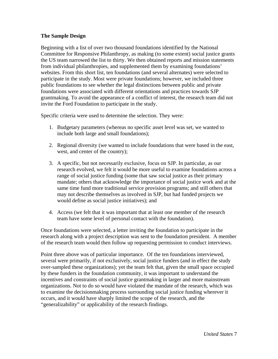#### <span id="page-7-0"></span>**The Sample Design**

Beginning with a list of over two thousand foundations identified by the National Committee for Responsive Philanthropy, as making (to some extent) social justice grants the US team narrowed the list to thirty. We then obtained reports and mission statements from individual philanthropies, and supplemented them by examining foundations' websites. From this short list, ten foundations (and several alternates) were selected to participate in the study. Most were private foundations; however, we included three public foundations to see whether the legal distinctions between public and private foundations were associated with different orientations and practices towards SJP grantmaking. To avoid the appearance of a conflict of interest, the research team did not invite the Ford Foundation to participate in the study.

Specific criteria were used to determine the selection. They were:

- 1. Budgetary parameters (whereas no specific asset level was set, we wanted to include both large and small foundations);
- 2. Regional diversity (we wanted to include foundations that were based in the east, west, and center of the country);
- 3. A specific, but not necessarily exclusive, focus on SJP. In particular, as our research evolved, we felt it would be more useful to examine foundations across a range of social justice funding (some that saw social justice as their primary mandate; others that acknowledge the importance of social justice work and at the same time fund more traditional service provision programs; and still others that may not describe themselves as involved in SJP, but had funded projects we would define as social justice initiatives); and
- 4. Access (we felt that it was important that at least one member of the research team have some level of personal contact with the foundation).

Once foundations were selected, a letter inviting the foundation to participate in the research along with a project description was sent to the foundation president. A member of the research team would then follow up requesting permission to conduct interviews.

Point three above was of particular importance. Of the ten foundations interviewed, several were primarily, if not exclusively, social justice funders (and in effect the study over-sampled these organizations); yet the team felt that, given the small space occupied by these funders in the foundation community, it was important to understand the incentives and constraints of social justice grantmaking in larger and more mainstream organizations. Not to do so would have violated the mandate of the research, which was to examine the decisionmaking process surrounding social justice funding wherever it occurs, and it would have sharply limited the scope of the research, and the "generalizability" or applicability of the research findings.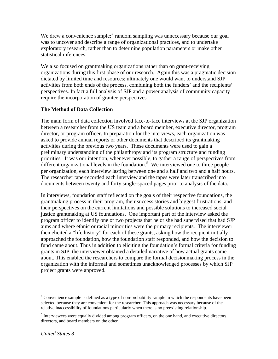<span id="page-8-0"></span>We drew a convenience sample; $<sup>4</sup>$  $<sup>4</sup>$  $<sup>4</sup>$  random sampling was unnecessary because our goal</sup> was to uncover and describe a range of organizational practices, and to undertake exploratory research, rather than to determine population parameters or make other statistical inferences.

We also focused on grantmaking organizations rather than on grant-receiving organizations during this first phase of our research. Again this was a pragmatic decision dictated by limited time and resources; ultimately one would want to understand SJP activities from both ends of the process, combining both the funders' and the recipients' perspectives. In fact a full analysis of SJP and a power analysis of community capacity require the incorporation of grantee perspectives.

## **The Method of Data Collection**

The main form of data collection involved face-to-face interviews at the SJP organization between a researcher from the US team and a board member, executive director, program director, or program officer. In preparation for the interviews, each organization was asked to provide annual reports or other documents that described its grantmaking activities during the previous two years. These documents were used to gain a preliminary understanding of the philanthropy and its program structure and funding priorities. It was our intention, whenever possible, to gather a range of perspectives from different organizational levels in the foundation.<sup>[5](#page-8-2)</sup> We interviewed one to three people per organization, each interview lasting between one and a half and two and a half hours. The researcher tape-recorded each interview and the tapes were later transcribed into documents between twenty and forty single-spaced pages prior to analysis of the data.

In interviews, foundation staff reflected on the goals of their respective foundations, the grantmaking process in their program, their success stories and biggest frustrations, and their perspectives on the current limitations and possible solutions to increased social justice grantmaking at US foundations. One important part of the interview asked the program officer to identify one or two projects that he or she had supervised that had SJP aims and where ethnic or racial minorities were the primary recipients. The interviewer then elicited a "life history" for each of these grants, asking how the recipient initially approached the foundation, how the foundation staff responded, and how the decision to fund came about. Thus in addition to eliciting the foundation's formal criteria for funding grants in SJP, the interviewer obtained a detailed narrative of how actual grants came about. This enabled the researchers to compare the formal decisionmaking process in the organization with the informal and sometimes unacknowledged processes by which SJP project grants were approved.

<span id="page-8-1"></span><sup>&</sup>lt;sup>4</sup> Convenience sample is defined as a type of non-probability sample in which the respondents have been selected because they are convenient for the researcher. This approach was necessary because of the relative inaccessibility of foundations particularly when there is no preexisting relationship.

<span id="page-8-2"></span><sup>&</sup>lt;sup>5</sup> Interviewees were equally divided among program officers, on the one hand, and executive directors, directors, and board members on the other.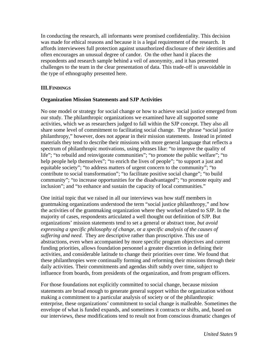<span id="page-9-0"></span>In conducting the research, all informants were promised confidentiality. This decision was made for ethical reasons and because it is a legal requirement of the research. It affords interviewees full protection against unauthorized disclosure of their identities and often encourages an unusual degree of candor. On the other hand it places the respondents and research sample behind a veil of anonymity, and it has presented challenges to the team in the clear presentation of data. This trade-off is unavoidable in the type of ethnography presented here.

#### **III.FINDINGS**

#### **Organization Mission Statements and SJP Activities**

No one model or strategy for social change or how to achieve social justice emerged from our study. The philanthropic organizations we examined have all supported some activities, which we as researchers judged to fall within the SJP concept. They also all share some level of commitment to facilitating social change. The phrase "social justice philanthropy," however, does not appear in their mission statements. Instead in printed materials they tend to describe their missions with more general language that reflects a spectrum of philanthropic motivations, using phrases like: "to improve the quality of life"; "to rebuild and reinvigorate communities"; "to promote the public welfare"; "to help people help themselves"; "to enrich the lives of people"; "to support a just and equitable society"; "to address matters of urgent concern to the community"; "to contribute to social transformation"; "to facilitate positive social change"; "to build community"; "to increase opportunities for the disadvantaged"; "to promote equity and inclusion"; and "to enhance and sustain the capacity of local communities."

One initial topic that we raised in all our interviews was how staff members in grantmaking organizations understood the term "social justice philanthropy," and how the activities of the grantmaking organization where they worked related to SJP. In the majority of cases, respondents articulated a well thought out definition of SJP. But organizations' mission statements tend to set a general or abstract tone, *but avoid expressing a specific philosophy of change*, or *a specific analysis of the causes of suffering and need*. They are descriptive rather than proscriptive. This use of abstractions, even when accompanied by more specific program objectives and current funding priorities, allows foundation personnel a greater discretion in defining their activities, and considerable latitude to change their priorities over time. We found that these philanthropies were continually forming and reforming their missions through their daily activities. Their commitments and agendas shift subtly over time, subject to influence from boards, from presidents of the organization, and from program officers.

For those foundations not explicitly committed to social change, because mission statements are broad enough to generate general support within the organization without making a commitment to a particular analysis of society or of the philanthropic enterprise, these organizations' commitment to social change is malleable. Sometimes the envelope of what is funded expands, and sometimes it contracts or shifts, and, based on our interviews, these modifications tend to result not from conscious dramatic changes of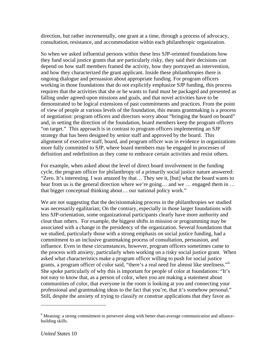direction, but rather incrementally, one grant at a time, through a process of advocacy, consultation, resistance, and accommodation within each philanthropic organization.

So when we asked influential persons within these less SJP-oriented foundations how they fund social justice grants that are particularly risky, they said their decisions can depend on how staff members framed the activity, how they portrayed an intervention, and how they characterized the grant applicant. Inside these philanthropies there is ongoing dialogue and persuasion about appropriate funding. For program officers working in those foundations that do not explicitly emphasize SJP funding, this process requires that the activities that she or he wants to fund must be packaged and presented as falling under agreed-upon missions and goals, and that novel activities have to be demonstrated to be logical extensions of past commitments and practices. From the point of view of people at various levels of the foundation, this means grantmaking is a process of negotiation: program officers and directors worry about "bringing the board on board" and, in setting the direction of the foundation, board members keep the program officers "on target." This approach is in contrast to program officers implementing an SJP strategy that has been designed by senior staff and approved by the board. This alignment of executive staff, board, and program officer was in evidence in organizations more fully committed to SJP, where board members may be engaged in processes of definition and redefinition as they come to embrace certain activities and resist others.

For example, when asked about the level of direct board involvement in the funding cycle, the program officer for philanthropy of a primarily social justice nature answered: "Zero. It's interesting. I was amazed by that… They see it, [but] what the board wants to hear from us is the general direction where we're going… and we … engaged them in … that bigger conceptual thinking about… our national policy work."

We are not suggesting that the decision making process in the philanthropies we studied was necessarily egalitarian; On the contrary, especially in those larger foundations with less SJP-orientation, some organizational participants clearly have more authority and clout than others. For example, the biggest shifts in mission or programming may be associated with a change in the presidency of the organization. Several foundations that we studied, particularly those with a strong emphasis on social justice funding, had a commitment to an inclusive grantmaking process of consultation, persuasion, and influence. Even in these circumstances, however, program officers sometimes came to the process with anxiety, particularly when working on a risky social justice grant. When asked what characteristics make a program officer willing to push for social justice grants, a program officer of color said, "there's a real need for almost like steeliness."[6](#page-10-0) She spoke particularly of why this is important for people of color at foundations: "It's not easy to know that, as a person of color, when you are making a statement about communities of color, that everyone in the room is looking at you and connecting your professional and grantmaking ideas to the fact that you're, that it's somehow personal." Still, despite the anxiety of trying to classify or construe applications that they favor as

<span id="page-10-0"></span><sup>&</sup>lt;sup>6</sup> Meaning: a strong commitment to persevere along with better-than-average communication and alliancebuilding skills.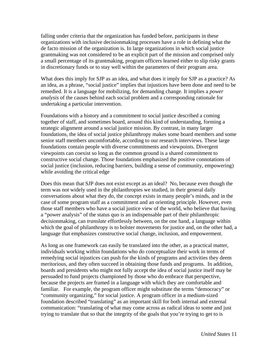falling under criteria that the organization has funded before, participants in these organizations with inclusive decisionmaking processes have a role in defining what the de facto mission of the organization is. In large organizations in which social justice grantmaking was not considered to be an explicit part of the mission and comprised only a small percentage of its grantmaking, program officers learned either to slip risky grants in discretionary funds or to stay well within the parameters of their program area.

What does this imply for SJP as an idea, and what does it imply for SJP as a practice? As an idea, as a phrase, "social justice" implies that injustices have been done and need to be remedied. It is a language for mobilizing, for demanding change. It implies a *power analysis* of the causes behind each social problem and a corresponding rationale for undertaking a particular intervention.

Foundations with a history and a commitment to social justice described a coming together of staff, and sometimes board, around this kind of understanding, forming a strategic alignment around a social justice mission. By contrast, in many larger foundations, the idea of social justice philanthropy makes some board members and some senior staff members uncomfortable, according to our research interviews. These large foundations contain people with diverse commitments and viewpoints. Divergent viewpoints can coexist so long as the common ground is a shared commitment to constructive social change. Those foundations emphasized the positive connotations of social justice (inclusion, reducing barriers, building a sense of community, empowering) while avoiding the critical edge

Does this mean that SJP does not exist except as an ideal? No, because even though the term was not widely used in the philanthropies we studied, in their general daily conversations about what they do, the concept exists in many people's minds, and in the case of some program staff as a commitment and an orienting principle. However, even those staff members who have a social justice view of the world, who believe that having a "power analysis" of the status quo is an indispensable part of their philanthropic decisionmaking, can *translate* effortlessly between, on the one hand, a language within which the goal of philanthropy is to bolster movements for justice and, on the other had, a language that emphasizes constructive social change, inclusion, and empowerment.

As long as one framework can easily be translated into the other, as a practical matter, individuals working within foundations who do conceptualize their work in terms of remedying social injustices can push for the kinds of programs and activities they deem meritorious, and they often succeed in obtaining those funds and programs. In addition, boards and presidents who might not fully accept the idea of social justice itself may be persuaded to fund projects championed by those who do embrace that perspective, because the projects are framed in a language with which they are comfortable and familiar. For example, the program officer might substitute the terms "democracy" or "community organizing," for social justice. A program officer in a medium-sized foundation described "translating" as an important skill for both internal and external communication: "translating of what may come across as radical ideas to some and just trying to translate that so that the integrity of the goals that you're trying to get to is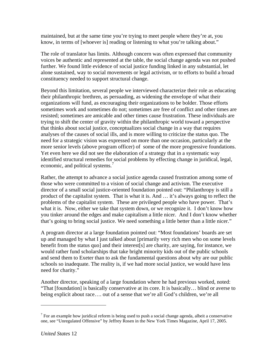maintained, but at the same time you're trying to meet people where they're at, you know, in terms of [whoever is] reading or listening to what you're talking about."

The role of translator has limits. Although concern was often expressed that community voices be authentic and represented at the table, the social change agenda was not pushed further. We found little evidence of social justice funding linked in any substantial, let alone sustained, way to social movements or legal activism, or to efforts to build a broad constituency needed to support structural change.

Beyond this limitation, several people we interviewed characterize their role as educating their philanthropic brethren, as persuading, as widening the envelope of what their organizations will fund, as encouraging their organizations to be bolder. Those efforts sometimes work and sometimes do not; sometimes are free of conflict and other times are resisted; sometimes are amicable and other times cause frustration. These individuals are trying to shift the center of gravity within the philanthropic world toward a perspective that thinks about social justice, conceptualizes social change in a way that requires analyses of the causes of social ills, and is more willing to criticize the status quo. The need for a strategic vision was expressed on more than one occasion, particularly at the more senior levels (above program officer) of some of the more progressive foundations. Yet even here we did not see the elaboration of a strategy that in a systematic way identified structural remedies for social problems by effecting change in juridical, legal, economic, and political systems.<sup>[7](#page-12-0)</sup>

Rather, the attempt to advance a social justice agenda caused frustration among some of those who were committed to a vision of social change and activism. The executive director of a small social justice-oriented foundation pointed out: "Philanthropy is still a product of the capitalist system. That is what it is. And … it's always going to reflect the problems of the capitalist system. These are privileged people who have power. That's what it is. Now, either we take that system down, or we recognize it. I don't know how you tinker around the edges and make capitalism a little nicer. And I don't know whether that's going to bring social justice. We need something a little better than a little nicer."

A program director at a large foundation pointed out: "Most foundations' boards are set up and managed by what I just talked about [primarily very rich men who on some levels benefit from the status quo] and their interest[s] are charity, are saying, for instance, we would rather fund scholarships that take bright minority kids out of the public schools and send them to Exeter than to ask the fundamental questions about why are our public schools so inadequate. The reality is, if we had more social justice, we would have less need for charity."

Another director, speaking of a large foundation where he had previous worked, noted: "That [foundation] is basically conservative at its core. It is basically… blind or averse to being explicit about race…. out of a sense that we're all God's children, we're all

<span id="page-12-0"></span> $7$  For an example how juridical reform is being used to push a social change agenda, albeit a conservative one, see "Unregulated Offensive" by Jeffrey Rosen in the New York Times Magazine, April 17, 2005.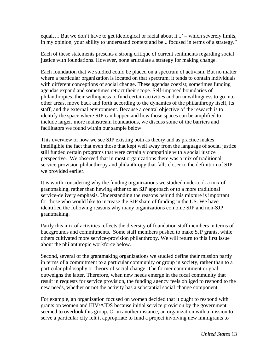equal…. But we don't have to get ideological or racial about it...' – which severely limits, in my opinion, your ability to understand context and be... focused in terms of a strategy."

Each of these statements presents a strong critique of current sentiments regarding social justice with foundations. However, none articulate a strategy for making change.

Each foundation that we studied could be placed on a spectrum of activism. But no matter where a particular organization is located on that spectrum, it tends to contain individuals with different conceptions of social change. These agendas coexist; sometimes funding agendas expand and sometimes retract their scope. Self-imposed boundaries of philanthropies, their willingness to fund certain activities and an unwillingness to go into other areas, move back and forth according to the dynamics of the philanthropy itself, its staff, and the external environment. Because a central objective of the research is to identify the space where SJP can happen and how those spaces can be amplified to include larger, more mainstream foundations, we discuss some of the barriers and facilitators we found within our sample below.

This overview of how we see SJP existing both as theory and as practice makes intelligible the fact that even those that kept well away from the language of social justice still funded certain programs that were certainly compatible with a social justice perspective. We observed that in most organizations there was a mix of traditional service-provision philanthropy and philanthropy that falls closer to the definition of SJP we provided earlier.

It is worth considering why the funding organizations we studied undertook a mix of grantmaking, rather than hewing either to an SJP approach or to a more traditional service-delivery emphasis. Understanding the reasons behind this mixture is important for those who would like to increase the SJP share of funding in the US. We have identified the following reasons why many organizations combine SJP and non-SJP grantmaking.

Partly this mix of activities reflects the diversity of foundation staff members in terms of backgrounds and commitments. Some staff members pushed to make SJP grants, while others cultivated more service-provision philanthropy. We will return to this first issue about the philanthropic workforce below.

Second, several of the grantmaking organizations we studied define their mission partly in terms of a commitment to a particular community or group in society, rather than to a particular philosophy or theory of social change. The former commitment or goal outweighs the latter. Therefore, when new needs emerge in the focal community that result in requests for service provision, the funding agency feels obliged to respond to the new needs, whether or not the activity has a substantial social change component.

For example, an organization focused on women decided that it ought to respond with grants on women and HIV/AIDS because initial service provision by the government seemed to overlook this group. Or in another instance, an organization with a mission to serve a particular city felt it appropriate to fund a project involving new immigrants to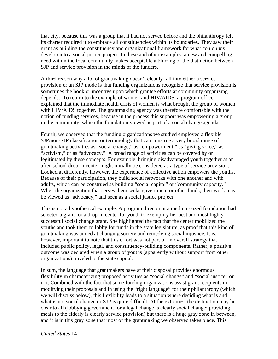that city, because this was a group that it had not served before and the philanthropy felt its charter required it to embrace all constituencies within its boundaries. They saw their grant as building the constituency and organizational framework for what could *later* develop into a social justice project. In these and other examples, a new and compelling need within the focal community makes acceptable a blurring of the distinction between SJP and service provision in the minds of the funders.

A third reason why a lot of grantmaking doesn't cleanly fall into either a serviceprovision or an SJP mode is that funding organizations recognize that service provision is sometimes the hook or incentive upon which grantee efforts at community organizing depends. To return to the example of women and HIV/AIDS, a program officer explained that the immediate health crisis of women is what brought the group of women with HIV/AIDS together. The grantmaking agency was therefore comfortable with the notion of funding services, because in the process this support was empowering a group in the community, which the foundation viewed as part of a social change agenda.

Fourth, we observed that the funding organizations we studied employed a flexible SJP/non-SJP classification or terminology that can construe a very broad range of grantmaking activities as "social change," as "empowerment," as "giving voice," as "activism," or as "advocacy." A broad range of activities can be covered by or legitimated by these concepts. For example, bringing disadvantaged youth together at an after-school drop-in center might initially be considered as a type of service provision. Looked at differently, however, the experience of collective action empowers the youths. Because of their participation, they build social networks with one another and with adults, which can be construed as building "social capital" or "community capacity." When the organization that serves them seeks government or other funds, their work may be viewed as "advocacy," and seen as a social justice project.

This is not a hypothetical example. A program director at a medium-sized foundation had selected a grant for a drop-in center for youth to exemplify her best and most highly successful social change grant. She highlighted the fact that the center mobilized the youths and took them to lobby for funds in the state legislature, as proof that this kind of grantmaking was aimed at changing society and remedying social injustice. It is, however, important to note that this effort was not part of an overall strategy that included public policy, legal, and constituency-building components. Rather, a positive outcome was declared when a group of youths (apparently without support from other organizations) traveled to the state capital.

In sum, the language that grantmakers have at their disposal provides enormous flexibility in characterizing proposed activities as "social change" and "social justice" or not. Combined with the fact that some funding organizations assist grant recipients in modifying their proposals and in using the "right language" for their philanthropy (which we will discuss below), this flexibility leads to a situation where deciding what is and what is not social change or SJP is quite difficult. At the extremes, the distinction may be clear to all (lobbying government for a legal change is clearly social change; providing meals to the elderly is clearly service provision) but there is a huge gray zone in between, and it is in this gray zone that most of the grantmaking we observed takes place. This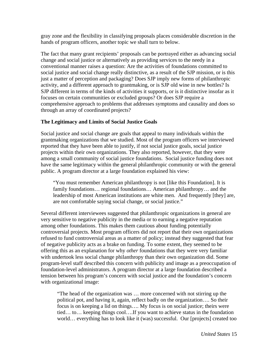<span id="page-15-0"></span>gray zone and the flexibility in classifying proposals places considerable discretion in the hands of program officers, another topic we shall turn to below.

The fact that many grant recipients' proposals can be portrayed either as advancing social change and social justice or alternatively as providing services to the needy in a conventional manner raises a question: Are the activities of foundations committed to social justice and social change really distinctive, as a result of the SJP mission, or is this just a matter of perception and packaging? Does SJP imply new forms of philanthropic activity, and a different approach to grantmaking, or is SJP old wine in new bottles? Is SJP different in terms of the kinds of activities it supports, or is it distinctive insofar as it focuses on certain communities or excluded groups? Or does SJP require a comprehensive approach to problems that addresses symptoms and causality and does so through an array of coordinated projects?

# **The Legitimacy and Limits of Social Justice Goals**

Social justice and social change are goals that appeal to many individuals within the grantmaking organizations that we studied. Most of the program officers we interviewed reported that they have been able to justify, if not social justice goals, social justice projects within their own organizations. They also reported, however, that they were among a small community of social justice foundations. Social justice funding does not have the same legitimacy within the general philanthropic community or with the general public. A program director at a large foundation explained his view:

"You must remember American philanthropy is not [like this Foundation]. It is family foundations… regional foundations… American philanthropy… and the leadership of most American institutions are white men. And frequently [they] are, are not comfortable saying social change, or social justice."

Several different interviewees suggested that philanthropic organizations in general are very sensitive to negative publicity in the media or to earning a negative reputation among other foundations. This makes them cautious about funding potentially controversial projects. Most program officers did not report that their own organizations refused to fund controversial areas as a matter of policy; instead they suggested that fear of negative publicity acts as a brake on funding. To some extent, they seemed to be offering this as an explanation for why *other* foundations that they were very familiar with undertook less social change philanthropy than their own organization did. Some program-level staff described this concern with publicity and image as a preoccupation of foundation-level administrators. A program director at a large foundation described a tension between his program's concern with social justice and the foundation's concern with organizational image:

"The head of the organization was … more concerned with not stirring up the political pot, and having it, again, reflect badly on the organization…. So their focus is on keeping a lid on things…. My focus is on social justice; theirs were tied… to… keeping things cool….If you want to achieve status in the foundation world… everything has to look like it (was) successful. Our [projects] created too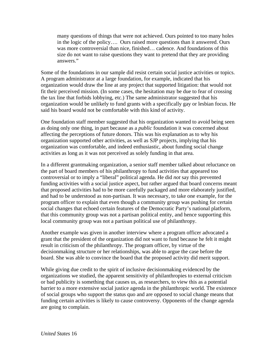many questions of things that were not achieved. Ours pointed to too many holes in the logic of the policy…. Ours raised more questions than it answered. Ours was more controversial than nice, finished… cadence. And foundations of this size do not want to raise questions they want to pretend that they are providing answers."

Some of the foundations in our sample did resist certain social justice activities or topics. A program administrator at a large foundation, for example, indicated that his organization would draw the line at any project that supported litigation: that would not fit their perceived mission. (In some cases, the hesitation may be due to fear of crossing the tax line that forbids lobbying, etc.) The same administrator suggested that his organization would be unlikely to fund grants with a specifically gay or lesbian focus. He said his board would not be comfortable with this kind of activity.

One foundation staff member suggested that his organization wanted to avoid being seen as doing only one thing, in part because as a *public* foundation it was concerned about affecting the perceptions of future donors. This was his explanation as to why his organization supported other activities, as well as SJP projects, implying that his organization was comfortable, and indeed enthusiastic, about funding social change activities as long as it was not perceived as solely funding in that area.

In a different grantmaking organization, a senior staff member talked about reluctance on the part of board members of his philanthropy to fund activities that appeared too controversial or to imply a "liberal" political agenda. He did *not* say this prevented funding activities with a social justice aspect, but rather argued that board concerns meant that proposed activities had to be more carefully packaged and more elaborately justified, and had to be understood as non-partisan. It was necessary, to take one example, for the program officer to explain that even though a community group was pushing for certain social changes that echoed certain features of the Democratic Party's national platform, that this community group was not a partisan political entity, and hence supporting this local community group was not a partisan political use of philanthropy.

Another example was given in another interview where a program officer advocated a grant that the president of the organization did not want to fund because he felt it might result in criticism of the philanthropy. The program officer, by virtue of the decisionmaking structure or her relationships, was able to argue the case before the board. She was able to convince the board that the proposed activity did merit support.

While giving due credit to the spirit of inclusive decisionmaking evidenced by the organizations we studied, the apparent sensitivity of philanthropies to external criticism or bad publicity is something that causes us, as researchers, to view this as a potential barrier to a more extensive social justice agenda in the philanthropic world. The existence of social groups who support the status quo and are opposed to social change means that funding certain activities is likely to cause controversy. Opponents of the change agenda are going to complain.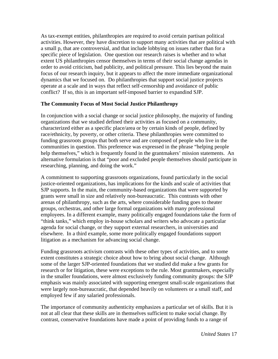<span id="page-17-0"></span>As tax-exempt entities, philanthropies are required to avoid certain partisan political activities. However, they have discretion to support many activities that are political with a small p, that are controversial, and that include lobbying on issues rather than for a specific piece of legislation. One question our research raises is whether and to what extent US philanthropies censor themselves in terms of their social change agendas in order to avoid criticism, bad publicity, and political pressure. This lies beyond the main focus of our research inquiry, but it appears to affect the more immediate organizational dynamics that we focused on. Do philanthropies that support social justice projects operate at a scale and in ways that reflect self-censorship and avoidance of public conflict? If so, this is an important self-imposed barrier to expandind SJP.

#### **The Community Focus of Most Social Justice Philanthropy**

In conjunction with a social change or social justice philosophy, the majority of funding organizations that we studied defined their activities as focused on a community, characterized either as a specific place/area or by certain kinds of people, defined by race/ethnicity, by poverty, or other criteria. These philanthropies were committed to funding grassroots groups that both serve and are composed of people who live in the communities in question. This preference was expressed in the phrase "helping people help themselves," which is frequently found in the grantmakers' mission statements. An alternative formulation is that "poor and excluded people themselves should participate in researching, planning, and doing the work."

A commitment to supporting grassroots organizations, found particularly in the social justice-oriented organizations, has implications for the kinds and scale of activities that SJP supports. In the main, the community-based organizations that were supported by grants were small in size and relatively non-bureaucratic. This contrasts with other arenas of philanthropy, such as the arts, where considerable funding goes to theater groups, orchestras, and other large formal organizations with many professional employees. In a different example, many politically engaged foundations take the form of "think tanks," which employ in-house scholars and writers who advocate a particular agenda for social change, or they support external researchers, in universities and elsewhere. In a third example, some more politically engaged foundations support litigation as a mechanism for advancing social change.

Funding grassroots activism contrasts with these other types of activities, and to some extent constitutes a strategic choice about how to bring about social change. Although some of the larger SJP-oriented foundations that we studied did make a few grants for research or for litigation, these were exceptions to the rule. Most grantmakers, especially in the smaller foundations, were almost exclusively funding community groups: the SJP emphasis was mainly associated with supporting emergent small-scale organizations that were largely non-bureaucratic, that depended heavily on volunteers or a small staff, and employed few if any salaried professionals.

The importance of community authenticity emphasizes a particular set of skills. But it is not at all clear that these skills are in themselves sufficient to make social change. By contrast, conservative foundations have made a point of providing funds to a range of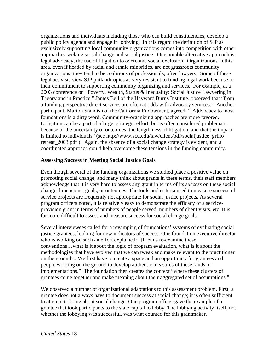<span id="page-18-0"></span>organizations and individuals including those who can build constituencies, develop a public policy agenda and engage in lobbying. In this regard the definition of SJP as exclusively supporting local community organizations comes into competition with other approaches seeking social change and social justice. One notable alternative approach is legal advocacy, the use of litigation to overcome social exclusion. Organizations in this area, even if headed by racial and ethnic minorities, are not grassroots community organizations; they tend to be coalitions of professionals, often lawyers. Some of these legal activists view SJP philanthropies as very resistant to funding legal work because of their commitment to supporting community organizing and services. For example, at a 2003 conference on "Poverty, Wealth, Status & Inequality: Social Justice Lawyering in Theory and in Practice," James Bell of the Hayward Burns Institute, observed that "from a funding perspective direct services are often at odds with advocacy services." Another participant, Marion Standish of the California Endowment, agreed: "[A]dvocacy to most foundations is a dirty word. Community-organizing approaches are more favored. Litigation can be a part of a larger strategic effort, but is often considered problematic because of the uncertainty of outcomes, the lengthiness of litigation, and that the impact is limited to individuals" (see http://www.scu.edu/law/client/pdf/socialjustice\_grillo\_ retreat\_2003.pdf ). Again, the absence of a social change strategy is evident, and a coordinated approach could help overcome these tensions in the funding community.

#### **Assessing Success in Meeting Social Justice Goals**

Even though several of the funding organizations we studied place a positive value on promoting social change, and many think about grants in these terms, their staff members acknowledge that it is very hard to assess any grant in terms of its *success* on these social change dimensions, goals, or outcomes. The tools and criteria used to measure success of service projects are frequently not appropriate for social justice projects. As several program officers noted, it is relatively easy to demonstrate the efficacy of a serviceprovision grant in terms of numbers of people served, numbers of client visits, etc. It is far more difficult to assess and measure success for social change goals.

Several interviewees called for a revamping of foundations' systems of evaluating social justice grantees, looking for new indicators of success. One foundation executive director who is working on such an effort explained: "[L]et us re-examine these conventions…what is it about the logic of program evaluation, what is it about the methodologies that have evolved that we can tweak and make relevant to the practitioner on the ground?...We first have to create a space and an opportunity for grantees and people working on the ground to develop authentic measures of these kinds of implementations." The foundation then creates the context "where these clusters of grantees come together and make meaning about their aggregated set of assumptions."

We observed a number of organizational adaptations to this assessment problem. First, a grantee does not always have to document success at social change; it is often sufficient to attempt to bring about social change. One program officer gave the example of a grantee that took participants to the state capital to lobby. The lobbying activity itself, not whether the lobbying was successful, was what counted for this grantmaker.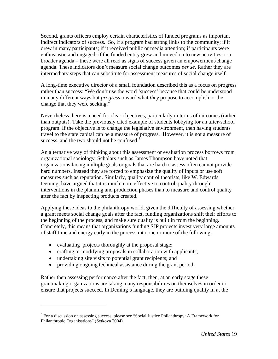Second, grants officers employ certain characteristics of funded programs as important indirect indicators of success. So, if a program had strong links to the community; if it drew in many participants; if it received public or media attention; if participants were enthusiastic and engaged; if the funded entity grew and moved on to new activities or a broader agenda – these were all read as signs of success given an empowerment/change agenda. These indicators don't measure social change outcomes *per se*. Rather they are intermediary steps that can substitute for assessment measures of social change itself.

A long-time executive director of a small foundation described this as a focus on progress rather than success: "We don't use the word 'success' because that could be understood in many different ways but *progress* toward what *they* propose to accomplish or the change that they were seeking."

Nevertheless there is a need for clear objectives, particularly in terms of outcomes (rather than outputs). Take the previously cited example of students lobbying for an after-school program. If the objective is to change the legislative environment, then having students travel to the state capital can be a measure of progress. However, it is not a measure of success, and the two should not be confused. $8$ 

An alternative way of thinking about this assessment or evaluation process borrows from organizational sociology. Scholars such as James Thompson have noted that organizations facing multiple goals or goals that are hard to assess often cannot provide hard numbers. Instead they are forced to emphasize the quality of inputs or use soft measures such as reputation. Similarly, quality control theorists, like W. Edwards Deming, have argued that it is much more effective to control quality through interventions in the planning and production phases than to measure and control quality after the fact by inspecting products created.

Applying these ideas to the philanthropy world, given the difficulty of assessing whether a grant meets social change goals after the fact, funding organizations shift their efforts to the beginning of the process, and make sure quality is built in from the beginning. Concretely, this means that organizations funding SJP projects invest very large amounts of staff time and energy early in the process into one or more of the following:

- evaluating projects thoroughly at the proposal stage;
- crafting or modifying proposals in collaboration with applicants;
- undertaking site visits to potential grant recipients; and

 $\overline{a}$ 

• providing ongoing technical assistance during the grant period.

Rather then assessing performance after the fact, then, at an early stage these grantmaking organizations are taking many responsibilities on themselves in order to ensure that projects succeed. In Deming's language, they are building quality in at the

<span id="page-19-0"></span><sup>&</sup>lt;sup>8</sup> For a discussion on assessing success, please see "Social Justice Philanthropy: A Framework for Philanthropic Organisations" (Setkova 2004).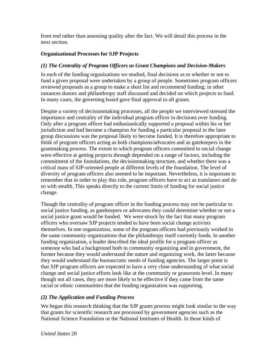<span id="page-20-0"></span>front end rather than assessing quality after the fact. We will detail this process in the next section.

## **Organizational Processes for SJP Projects**

#### *(1) The Centrality of Program Officers as Grant Champions and Decision-Makers*

In each of the funding organizations we studied, final decisions as to whether or not to fund a given proposal were undertaken by a group of people. Sometimes program officers reviewed proposals as a group to make a short list and recommend funding; in other instances donors and philanthropy staff discussed and decided on which projects to fund. In many cases, the governing board gave final approval to all grants.

Despite a variety of decisionmaking processes, all the people we interviewed stressed the importance and centrality of the individual program officer in decisions over funding. Only after a program officer had enthusiastically supported a proposal within his or her jurisdiction and had become a champion for funding a particular proposal in the later group discussions was the proposal likely to become funded. It is therefore appropriate to think of program officers acting as both champions/advocates and as gatekeepers in the grantmaking process. The extent to which program officers committed to social change were effective at getting projects through depended on a range of factors, including the commitment of the foundations, the decisionmaking structure, and whether there was a critical mass of SJP-oriented people at different levels of the foundation. The level of diversity of program officers also seemed to be important. Nevertheless, it is important to remember that in order to play this role, program officers have to act as translators and do so with stealth. This speaks directly to the current limits of funding for social justice change.

Though the centrality of program officer in the funding process may not be particular to social justice funding, as gatekeepers or advocates they could determine whether or not a social justice grant would be funded. We were struck by the fact that many program officers who oversaw SJP projects tended to have been social change activists themselves. In one organization, some of the program officers had previously worked in the same community organizations that the philanthropy itself currently funds. In another funding organization, a leader described the ideal profile for a program officer as someone who had a background both in community organizing and in government, the former because they would understand the nature and organizing work, the latter because they would understand the bureaucratic needs of funding agencies. The larger point is that SJP program officers are expected to have a very close understanding of what social change and social justice efforts look like at the community or grassroots level. In many though not all cases, they are more likely to be effective if they came from the same racial or ethnic communities that the funding organization was supporting.

# *(2) The Application and Funding Process*

We began this research thinking that the SJP grants process might look similar to the way that grants for scientific research are processed by government agencies such as the National Science Foundation or the National Institutes of Health. In those kinds of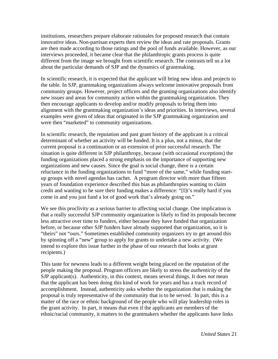institutions, researchers prepare elaborate rationales for proposed research that contain innovative ideas. Non-partisan experts then review the ideas and rate proposals. Grants are then made according to those ratings and the pool of funds available. However, as our interviews proceeded, it became clear that the philanthropic grants process is quite different from the image we brought from scientific research. The contrasts tell us a lot about the particular demands of SJP and the dynamics of grantmaking.

In scientific research, it is expected that the applicant will bring new ideas and projects to the table. In SJP, grantmaking organizations always welcome innovative proposals from community groups. However, project officers and the granting organizations also identify new issues and areas for community action within the grantmaking organization. They then encourage applicants to develop and/or modify proposals to bring them into alignment with the grantmaking organization's ideas and priorities. In interviews, several examples were given of ideas that originated in the SJP grantmaking organization and were then "marketed" to community organizations.

In scientific research, the reputation and past grant history of the applicant is a critical determinant of whether an activity will be funded. It is a plus, not a minus, that the current proposal is a continuation or an extension of prior successful research. The situation is quite different in SJP philanthropy, because (with occasional exceptions) the funding organizations placed a strong emphasis on the importance of supporting new organizations and new causes. Since the goal is social change, there is a certain reluctance in the funding organizations to fund "more of the same," while funding startup groups with novel agendas has cachet. A program director with more than fifteen years of foundation experience described this bias as philanthropies wanting to claim credit and wanting to be sure their funding makes a difference: "[I]t's really hard if you come in and you just fund a lot of good work that's already going on."

We see this proclivity as a serious barrier to affecting social change. One implication is that a really successful SJP community organization is likely to find its proposals become less attractive over time to funders, either because they have funded that organization before, or because other SJP funders have already supported that organization, so it is "theirs" not "ours." Sometimes established community organizers try to get around this by spinning off a "new" group to apply for grants to undertake a new activity. (We intend to explore this issue further in the phase of our research that looks at grant recipients.)

This taste for newness leads to a different weight being placed on the reputation of the people making the proposal. Program officers are likely to stress the *authenticity* of the SJP applicant(s). Authenticity, in this context, means several things. It does *not* mean that the applicant has been doing this kind of work for years and has a track record of accomplishment. Instead, authenticity asks whether the organization that is making the proposal is truly representative of the community that is to be served. In part, this is a matter of the race or ethnic background of the people who will play leadership roles in the grant activity. In part, it means that even if the applicants are members of the ethnic/racial community, it matters to the grantmakers whether the applicants have links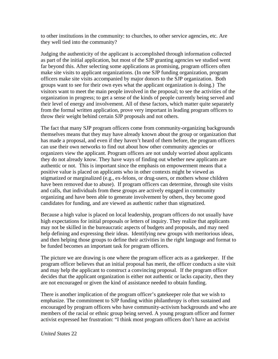to other institutions in the community: to churches, to other service agencies, etc. Are they well tied into the community?

Judging the authenticity of the applicant is accomplished through information collected as part of the initial application, but most of the SJP granting agencies we studied went far beyond this. After selecting some applications as promising, program officers often make site visits to applicant organizations. (In one SJP funding organization, program officers make site visits accompanied by major donors to the SJP organization. Both groups want to see for their own eyes what the applicant organization is doing.) The visitors want to meet the main people involved in the proposal; to see the activities of the organization in progress; to get a sense of the kinds of people currently being served and their level of energy and involvement. All of these factors, which matter quite separately from the formal written application, prove very important in leading program officers to throw their weight behind certain SJP proposals and not others.

The fact that many SJP program officers come from community-organizing backgrounds themselves means that they may have already known about the group or organization that has made a proposal, and even if they haven't heard of them before, the program officers can use their own networks to find out about how other community agencies or organizers view the applicant. Program officers are not unduly worried about applicants they do not already know. They have ways of finding out whether new applicants are authentic or not. This is important since the emphasis on empowerment means that a positive value is placed on applicants who in other contexts might be viewed as stigmatized or marginalized (e.g., ex-felons, or drug-users, or mothers whose children have been removed due to abuse). If program officers can determine, through site visits and calls, that individuals from these groups are actively engaged in community organizing and have been able to generate involvement by others, they become good candidates for funding, and are viewed as authentic rather than stigmatized.

Because a high value is placed on local leadership, program officers do not usually have high expectations for initial proposals or letters of inquiry. They realize that applicants may not be skilled in the bureaucratic aspects of budgets and proposals, and may need help defining and expressing their ideas. Identifying new groups with meritorious ideas, and then helping those groups to define their activities in the right language and format to be funded becomes an important task for program officers.

The picture we are drawing is one where the program officer acts as a gatekeeper. If the program officer believes that an initial proposal has merit, the officer conducts a site visit and may help the applicant to construct a convincing proposal. If the program officer decides that the applicant organization is either not authentic or lacks capacity, then they are not encouraged or given the kind of assistance needed to obtain funding.

There is another implication of the program officer's gatekeeper role that we wish to emphasize. The commitment to SJP funding within philanthropy is often sustained and encouraged by program officers who have community-activism backgrounds and who are members of the racial or ethnic group being served. A young program officer and former activist expressed her frustration: "I think most program officers don't have an activist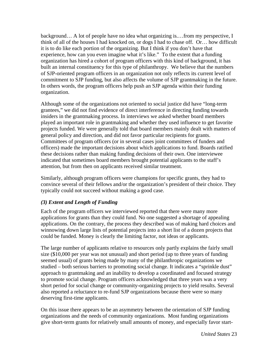<span id="page-23-0"></span>background… A lot of people have no idea what organizing is.…from my perspective, I think of all of the houses I had knocked on, or dogs I had to chase off. Or… how difficult it is to do like each portion of the organizing. But I think if you don't have that experience, how can you even imagine what it's like." To the extent that a funding organization has hired a cohort of program officers with this kind of background, it has built an internal constituency for this type of philanthropy. We believe that the numbers of SJP-oriented program officers in an organization not only reflects its current level of commitment to SJP funding, but also affects the volume of SJP grantmaking in the future. In others words, the program officers help push an SJP agenda within their funding organization.

Although some of the organizations not oriented to social justice did have "long-term grantees," we did not find evidence of direct interference in directing funding towards insiders in the grantmaking process. In interviews we asked whether board members played an important role in grantmaking and whether they used influence to get favorite projects funded. We were generally told that board members mainly dealt with matters of general policy and direction, and did not favor particular recipients for grants. Committees of program officers (or in several cases joint committees of funders and officers) made the important decisions about which applications to fund. Boards ratified these decisions rather than making funding decisions of their own. One interviewee indicated that sometimes board members brought potential applicants to the staff's attention, but from then on applicants received similar treatment.

Similarly, although program officers were champions for specific grants, they had to convince several of their fellows and/or the organization's president of their choice. They typically could not succeed without making a good case.

#### *(3) Extent and Length of Funding*

Each of the program officers we interviewed reported that there were many more applications for grants than they could fund. No one suggested a shortage of appealing applications. On the contrary, the process they described was of making hard choices and winnowing down large lists of potential projects into a short list of a dozen projects that could be funded. Money is clearly the limiting factor, not ideas or applicants.

The large number of applicants relative to resources only partly explains the fairly small size (\$10,000 per year was not unusual) and short period (up to three years of funding seemed usual) of grants being made by many of the philanthropic organizations we studied – both serious barriers to promoting social change. It indicates a "sprinkle dust" approach to grantmaking and an inability to develop a coordinated and focused strategy to promote social change. Program officers acknowledged that three years was a very short period for social change or community-organizing projects to yield results. Several also reported a reluctance to re-fund SJP organizations because there were so many deserving first-time applicants.

On this issue there appears to be an asymmetry between the orientation of SJP funding organizations and the needs of community organizations. Most funding organizations give short-term grants for relatively small amounts of money, and especially favor start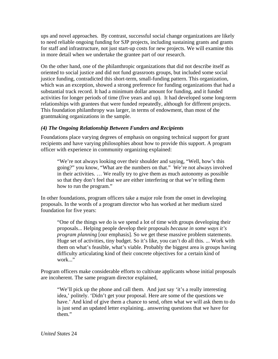<span id="page-24-0"></span>ups and novel approaches. By contrast, successful social change organizations are likely to need reliable ongoing funding for SJP projects, including sustaining grants and grants for staff and infrastructure, not just start-up costs for new projects. We will examine this in more detail when we undertake the grantee part of our research.

On the other hand, one of the philanthropic organizations that did not describe itself as oriented to social justice and did not fund grassroots groups, but included some social justice funding, contradicted this short-term, small-funding pattern. This organization, which was an exception, showed a strong preference for funding organizations that had a substantial track record. It had a minimum dollar amount for funding, and it funded activities for longer periods of time (five years and up). It had developed some long-term relationships with grantees that were funded repeatedly, although for different projects. This foundation philanthropy was larger, in terms of endowment, than most of the grantmaking organizations in the sample.

#### *(4) The Ongoing Relationship Between Funders and Recipients*

Foundations place varying degrees of emphasis on ongoing technical support for grant recipients and have varying philosophies about how to provide this support. A program officer with experience in community organizing explained:

"We're not always looking over their shoulder and saying, "Well, how's this going?" you know, "What are the numbers on that." We're not always involved in their activities. … We really try to give them as much autonomy as possible so that they don't feel that we are either interfering or that we're telling them how to run the program."

In other foundations, program officers take a major role from the onset in developing proposals. In the words of a program director who has worked at her medium sized foundation for five years:

"One of the things we do is we spend a lot of time with groups developing their proposals... Helping people develop their proposals *because in some ways it's program planning* [our emphasis]. So we get these massive problem statements. Huge set of activities, tiny budget. So it's like, you can't do all this. ... Work with them on what's feasible, what's viable. Probably the biggest area is groups having difficulty articulating kind of their concrete objectives for a certain kind of work..."

Program officers make considerable efforts to cultivate applicants whose initial proposals are incoherent. The same program director explained,

"We'll pick up the phone and call them. And just say 'it's a really interesting idea,' politely. 'Didn't get your proposal. Here are some of the questions we have.' And kind of give them a chance to send, often what we will ask them to do is just send an updated letter explaining.. answering questions that we have for them."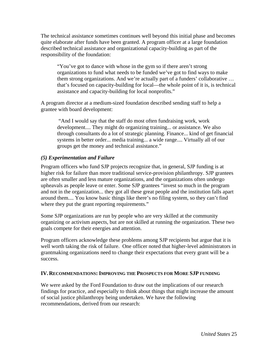<span id="page-25-0"></span>The technical assistance sometimes continues well beyond this initial phase and becomes quite elaborate after funds have been granted. A program officer at a large foundation described technical assistance and organizational capacity-building as part of the responsibility of the foundation:

"You've got to dance with whose in the gym so if there aren't strong organizations to fund what needs to be funded we've got to find ways to make them strong organizations. And we're actually part of a funders' collaborative … that's focused on capacity-building for local—the whole point of it is, is technical assistance and capacity-building for local nonprofits."

A program director at a medium-sized foundation described sending staff to help a grantee with board development:

 "And I would say that the staff do most often fundraising work, work development.... They might do organizing training... or assistance. We also through consultants do a lot of strategic planning. Finance... kind of get financial systems in better order... media training... a wide range.... Virtually all of our groups get the money and technical assistance."

#### *(5) Experimentation and Failure*

Program officers who fund SJP projects recognize that, in general, SJP funding is at higher risk for failure than more traditional service-provision philanthropy. SJP grantees are often smaller and less mature organizations, and the organizations often undergo upheavals as people leave or enter. Some SJP grantees "invest so much in the program and not in the organization... they got all these great people and the institution falls apart around them.... You know basic things like there's no filing system, so they can't find where they put the grant reporting requirements."

Some SJP organizations are run by people who are very skilled at the community organizing or activism aspects, but are not skilled at running the organization. These two goals compete for their energies and attention.

Program officers acknowledge these problems among SJP recipients but argue that it is well worth taking the risk of failure. One officer noted that higher-level administrators in grantmaking organizations need to change their expectations that every grant will be a success.

#### **IV.RECOMMENDATIONS: IMPROVING THE PROSPECTS FOR MORE SJP FUNDING**

We were asked by the Ford Foundation to draw out the implications of our research findings for practice, and especially to think about things that might increase the amount of social justice philanthropy being undertaken. We have the following recommendations, derived from our research: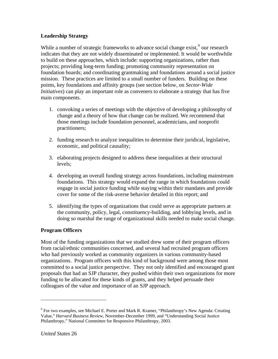# <span id="page-26-0"></span>**Leadership Strategy**

While a number of strategic frameworks to advance social change exist,  $9$  our research indicates that they are not widely disseminated or implemented. It would be worthwhile to build on these approaches, which include: supporting organizations, rather than projects; providing long-term funding; promoting community representation on foundation boards; and coordinating grantmaking and foundations around a social justice mission. These practices are limited to a small number of funders. Building on these points, key foundations and affinity groups (see section below, on *Sector-Wide Initiatives*) can play an important role as conveners to elaborate a strategy that has five main components.

- 1. convoking a series of meetings with the objective of developing a philosophy of change and a theory of how that change can be realized. We recommend that those meetings include foundation personnel, academicians, and nonprofit practitioners;
- 2. funding research to analyze inequalities to determine their juridical, legislative, economic, and political causality;
- 3. elaborating projects designed to address these inequalities at their structural levels;
- 4. developing an overall funding strategy across foundations, including mainstream foundations. This strategy would expand the range in which foundations could engage in social justice funding while staying within their mandates and provide cover for some of the risk-averse behavior detailed in this report; and
- 5. identifying the types of organizations that could serve as appropriate partners at the community, policy, legal, constituency-building, and lobbying levels, and in doing so marshal the range of organizational skills needed to make social change.

#### **Program Officers**

Most of the funding organizations that we studied drew some of their program officers from racial/ethnic communities concerned, and several had recruited program officers who had previously worked as community organizers in various community-based organizations. Program officers with this kind of background were among those most committed to a social justice perspective. They not only identified and encouraged grant proposals that had an SJP character, they pushed within their own organizations for more funding to be allocated for these kinds of grants, and they helped persuade their colleagues of the value and importance of an SJP approach.

<span id="page-26-1"></span><sup>&</sup>lt;sup>9</sup> For two examples, see Michael E. Porter and Mark R. Kramer, "Philanthropy's New Agenda: Creating Value," *Harvard Business Review*, November-December 1999, and "Understanding Social Justice Philanthropy," National Committee for Responsive Philanthropy, 2003.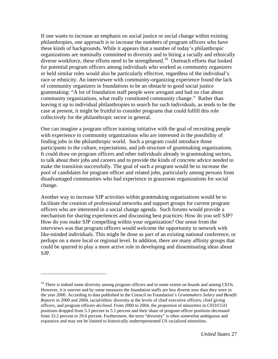If one wants to increase an emphasis on social justice or social change within existing philanthropies, one approach is to increase the numbers of program officers who have these kinds of backgrounds. While it appears that a number of today's philanthropic organizations are nominally committed to diversity and to hiring a racially and ethnically diverse workforce, these efforts need to be strengthened.<sup>[10](#page-27-0)</sup> Outreach efforts that looked for potential program officers among individuals who worked as community organizers or held similar roles would also be particularly effective, regardless of the individual's race or ethnicity. An interviewee with community-organizing experience found the lack of community organizers in foundations to be an obstacle to good social justice grantmaking: "A lot of foundation staff people were arrogant and had no clue about community organizations, what really constituted community change." Rather than leaving it up to individual philanthropies to search for such individuals, as tends to be the case at present, it might be fruitful to consider programs that could fulfill this role collectively for the philanthropic sector in general.

One can imagine a program officer training initiative with the goal of recruiting people with experience in community organizations who are interested in the possibility of finding jobs in the philanthropic world. Such a program could introduce those participants to the culture, expectations, and job structure of grantmaking organizations. It could draw on program officers and other individuals already in grantmaking sectors, to talk about their jobs and careers and to provide the kinds of concrete advice needed to make the transition successfully. The goal of such a program would be to increase the pool of candidates for program officer and related jobs, particularly among persons from disadvantaged communities who had experience in grassroots organizations for social change.

Another way to increase SJP activities within grantmaking organizations would be to facilitate the creation of professional networks and support groups for current program officers who are interested in a social change agenda. Such forums would provide a mechanism for sharing experiences and discussing best practices: How do you sell SJP? How do you make SJP compelling within your organization? Our sense from the interviews was that program officers would welcome the opportunity to network with like-minded individuals. This might be done as part of an existing national conference, or perhaps on a more local or regional level. In addition, there are many affinity groups that could be spurred to play a more active role in developing and disseminating ideas about SJP.

<span id="page-27-0"></span> $10$  There is indeed some diversity among program officers and to some extent on boards and among CEOs. However, it is uneven and by some measures the foundation staffs are less diverse now than they were in the year 2000. According to data published in the Council on Foundation's *Grantmakers Salary and Benefit Reports* in 2000 and 2004, racial/ethnic diversity at the levels of chief executive officers, chief giving officers, and program officers *declined*. From 2000 to 2004, the proportion of minorities in CEO/CGO positions dropped from 5.3 percent to 5.1 percent and their share of program officer positions decreased from 33.2 percent to 29.6 percent. Furthermore, the term "diversity" is often somewhat ambiguous and expansive and may not be limited to historically underrepresented US racialized minorities.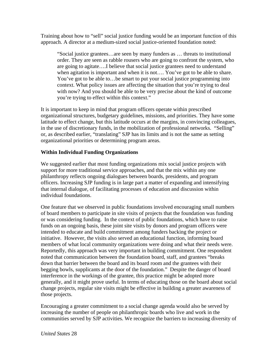<span id="page-28-0"></span>Training about how to "sell" social justice funding would be an important function of this approach. A director at a medium-sized social justice-oriented foundation noted:

"Social justice grantees…are seen by many funders as … threats to institutional order. They are seen as rabble rousers who are going to confront the system, who are going to agitate….I believe that social justice grantees need to understand when agitation is important and when it is not.... You've got to be able to share. You've got to be able to…be smart to put your social justice programming into context. What policy issues are affecting the situation that you're trying to deal with now? And you should be able to be very precise about the kind of outcome you're trying to effect within this context."

It is important to keep in mind that program officers operate within prescribed organizational structures, budgetary guidelines, missions, and priorities. They have some latitude to effect change, but this latitude occurs at the margins, in convincing colleagues, in the use of discretionary funds, in the mobilization of professional networks. "Selling" or, as described earlier, "translating" SJP has its limits and is not the same as setting organizational priorities or determining program areas.

#### **Within Individual Funding Organizations**

We suggested earlier that most funding organizations mix social justice projects with support for more traditional service approaches, and that the mix within any one philanthropy reflects ongoing dialogues between boards, presidents, and program officers. Increasing SJP funding is in large part a matter of expanding and intensifying that internal dialogue, of facilitating processes of education and discussion within individual foundations.

One feature that we observed in public foundations involved encouraging small numbers of board members to participate in site visits of projects that the foundation was funding or was considering funding. In the context of public foundations, which have to raise funds on an ongoing basis, these joint site visits by donors and program officers were intended to educate and build commitment among funders backing the project or initiative. However, the visits also served an educational function, informing board members of what local community organizations were doing and what their needs were. Reportedly, this approach was very important in building commitment. One respondent noted that communication between the foundation board, staff, and grantees "breaks down that barrier between the board and its board room and the grantees with their begging bowls, supplicants at the door of the foundation." Despite the danger of board interference in the workings of the grantee, this practice might be adopted more generally, and it might prove useful. In terms of educating those on the board about social change projects, regular site visits might be effective in building a greater awareness of those projects.

Encouraging a greater commitment to a social change agenda would also be served by increasing the number of people on philanthropic boards who live and work in the communities served by SJP activities. We recognize the barriers to increasing diversity of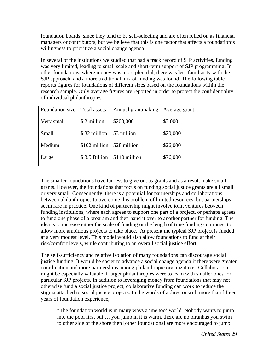foundation boards, since they tend to be self-selecting and are often relied on as financial managers or contributors, but we believe that this is one factor that affects a foundation's willingness to prioritize a social change agenda.

In several of the institutions we studied that had a track record of SJP activities, funding was very limited, leading to small scale and short-term support of SJP programming. In other foundations, where money was more plentiful, there was less familiarity with the SJP approach, and a more traditional mix of funding was found. The following table reports figures for foundations of different sizes based on the foundations within the research sample. Only average figures are reported in order to protect the confidentiality of individual philanthropies.

| Foundation size | Total assets  | Annual grantmaking | Average grant |
|-----------------|---------------|--------------------|---------------|
| Very small      | \$2 million   | \$200,000          | \$3,000       |
| Small           | \$32 million  | \$3 million        | \$20,000      |
| Medium          | \$102 million | \$28 million       | \$26,000      |
| Large           | \$3.5 Billion | \$140 million      | \$76,000      |

The smaller foundations have far less to give out as grants and as a result make small grants. However, the foundations that focus on funding social justice grants are all small or very small. Consequently, there is a potential for partnerships and collaborations between philanthropies to overcome this problem of limited resources, but partnerships seem rare in practice. One kind of partnership might involve joint ventures between funding institutions, where each agrees to support one part of a project, or perhaps agrees to fund one phase of a program and then hand it over to another partner for funding. The idea is to increase either the scale of funding or the length of time funding continues, to allow more ambitious projects to take place. At present the typical SJP project is funded at a very modest level. This model would also allow foundations to fund at their risk/comfort levels, while contributing to an overall social justice effort.

The self-sufficiency and relative isolation of many foundations can discourage social justice funding. It would be easier to advance a social change agenda if there were greater coordination and more partnerships among philanthropic organizations. Collaboration might be especially valuable if larger philanthropies were to team with smaller ones for particular SJP projects. In addition to leveraging money from foundations that may not otherwise fund a social justice project, collaborative funding can work to reduce the stigma attached to social justice projects. In the words of a director with more than fifteen years of foundation experience,

"The foundation world is in many ways a 'me too' world. Nobody wants to jump into the pool first but … you jump in it is warm, there are no piranhas you swim to other side of the shore then [other foundations] are more encouraged to jump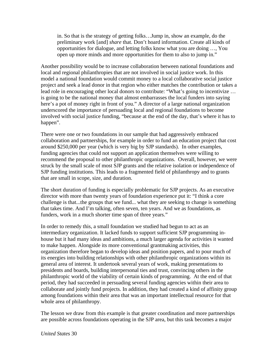in. So that is the strategy of getting folks…Jump in, show an example, do the preliminary work [and] *share* that. Don't hoard information. Create all kinds of opportunities for dialogue, and letting folks know what you are doing …, You open up more minds and more opportunities for them to also to jump in."

Another possibility would be to increase collaboration between national foundations and local and regional philanthropies that are not involved in social justice work. In this model a national foundation would commit money to a local collaborative social justice project and seek a lead donor in that region who either matches the contribution or takes a lead role in encouraging other local donors to contribute: "What's going to incentivize … is going to be the national money that almost embarrasses the local funders into saying here's a pot of money right in front of you." A director of a large national organization underscored the importance of persuading local and regional foundations to become involved with social justice funding, "because at the end of the day, that's where it has to happen".

There were one or two foundations in our sample that had aggressively embraced collaboration and partnerships, for example in order to fund an education project that cost around \$250,000 per year (which is very big by SJP standards). In other examples, funding agencies that could not support an application themselves were willing to recommend the proposal to other philanthropic organizations. Overall, however, we were struck by the small scale of most SJP grants and the relative isolation or independence of SJP funding institutions. This leads to a fragmented field of philanthropy and to grants that are small in scope, size, and duration.

The short duration of funding is especially problematic for SJP projects. As an executive director with more than twenty years of foundation experience put it: "I think a core challenge is that...the groups that we fund... what they are seeking to change is something that takes time. And I'm talking, often seven, ten years. And we as foundations, as funders, work in a much shorter time span of three years."

In order to remedy this, a small foundation we studied had begun to act as an intermediary organization. It lacked funds to support sufficient SJP programming inhouse but it had many ideas and ambitions, a much larger agenda for activities it wanted to make happen. Alongside its more conventional grantmaking activities, this organization therefore began to develop ideas and position papers, and to pour much of its energies into building relationships with other philanthropic organizations within its general area of interest. It undertook several years of work, making presentations to presidents and boards, building interpersonal ties and trust, convincing others in the philanthropic world of the viability of certain kinds of programming. At the end of that period, they had succeeded in persuading several funding agencies within their area to collaborate and jointly fund projects. In addition, they had created a kind of affinity group among foundations within their area that was an important intellectual resource for that whole area of philanthropy.

The lesson we draw from this example is that greater coordination and more partnerships are possible across foundations operating in the SJP area, but this task becomes a major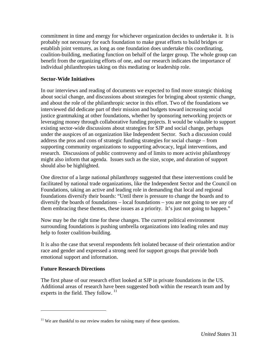<span id="page-31-0"></span>commitment in time and energy for whichever organization decides to undertake it. It is probably not necessary for each foundation to make great efforts to build bridges or establish joint ventures, as long as one foundation does undertake this coordinating, coalition-building, mediating function on behalf of the larger group. The whole group can benefit from the organizing efforts of one, and our research indicates the importance of individual philanthropies taking on this mediating or leadership role.

#### **Sector-Wide Initiatives**

In our interviews and reading of documents we expected to find more strategic thinking about social change, and discussions about strategies for bringing about systemic change, and about the role of the philanthropic sector in this effort. Two of the foundations we interviewed did dedicate part of their mission and budgets toward increasing social justice grantmaking at other foundations, whether by sponsoring networking projects or leveraging money through collaborative funding projects. It would be valuable to support existing sector-wide discussions about strategies for SJP and social change, perhaps under the auspices of an organization like Independent Sector. Such a discussion could address the pros and cons of strategic funding strategies for social change – from supporting community organizations to supporting advocacy, legal interventions, and research. Discussions of public controversy and of limits to more activist philanthropy might also inform that agenda. Issues such as the size, scope, and duration of support should also be highlighted.

One director of a large national philanthropy suggested that these interventions could be facilitated by national trade organizations, like the Independent Sector and the Council on Foundations, taking an active and leading role in demanding that local and regional foundations diversify their boards: "Until there is pressure to change the boards and to diversify the boards of foundations – local foundations – you are not going to see any of them embracing these themes, these issues as a priority. It's just not going to happen."

Now may be the right time for these changes. The current political environment surrounding foundations is pushing umbrella organizations into leading roles and may help to foster coalition-building.

It is also the case that several respondents felt isolated because of their orientation and/or race and gender and expressed a strong need for support groups that provide both emotional support and information.

#### **Future Research Directions**

 $\overline{a}$ 

The first phase of our research effort looked at SJP in private foundations in the US. Additional areas of research have been suggested both within the research team and by experts in the field. They follow.  $11$ 

<span id="page-31-1"></span> $11$  We are thankful to our review readers for raising many of these questions.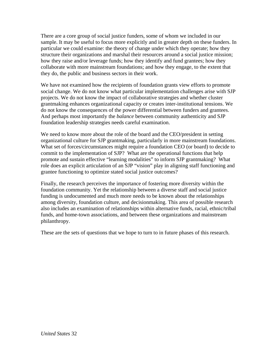There are a core group of social justice funders, some of whom we included in our sample. It may be useful to focus more explicitly and in greater depth on these funders. In particular we could examine: the theory of change under which they operate; how they structure their organizations and marshal their resources around a social justice mission; how they raise and/or leverage funds; how they identify and fund grantees; how they collaborate with more mainstream foundations; and how they engage, to the extent that they do, the public and business sectors in their work.

We have not examined how the recipients of foundation grants view efforts to promote social change. We do not know what particular implementation challenges arise with SJP projects. We do not know the impact of collaborative strategies and whether cluster grantmaking enhances organizational capacity or creates inter-institutional tensions. We do not know the consequences of the power differential between funders and grantees. And perhaps most importantly the *balance* between community authenticity and SJP foundation leadership strategies needs careful examination.

We need to know more about the role of the board and the CEO/president in setting organizational culture for SJP grantmaking, particularly in more mainstream foundations. What set of forces/circumstances might require a foundation CEO (or board) to decide to commit to the implementation of SJP? What are the operational functions that help promote and sustain effective "learning modalities" to inform SJP grantmaking? What role does an explicit articulation of an SJP "vision" play in aligning staff functioning and grantee functioning to optimize stated social justice outcomes?

Finally, the research perceives the importance of fostering more diversity within the foundation community. Yet the relationship between a diverse staff and social justice funding is undocumented and much more needs to be known about the relationships among diversity, foundation culture, and decisionmaking. This area of possible research also includes an examination of relationships within alternative funds, racial, ethnic/tribal funds, and home-town associations, and between these organizations and mainstream philanthropy.

These are the sets of questions that we hope to turn to in future phases of this research.